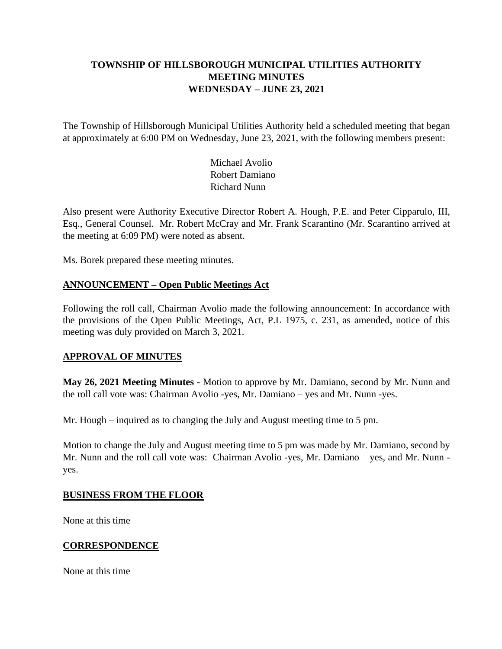# **TOWNSHIP OF HILLSBOROUGH MUNICIPAL UTILITIES AUTHORITY MEETING MINUTES WEDNESDAY – JUNE 23, 2021**

The Township of Hillsborough Municipal Utilities Authority held a scheduled meeting that began at approximately at 6:00 PM on Wednesday, June 23, 2021, with the following members present:

> Michael Avolio Robert Damiano Richard Nunn

Also present were Authority Executive Director Robert A. Hough, P.E. and Peter Cipparulo, III, Esq., General Counsel. Mr. Robert McCray and Mr. Frank Scarantino (Mr. Scarantino arrived at the meeting at 6:09 PM) were noted as absent.

Ms. Borek prepared these meeting minutes.

# **ANNOUNCEMENT – Open Public Meetings Act**

Following the roll call, Chairman Avolio made the following announcement: In accordance with the provisions of the Open Public Meetings, Act, P.L 1975, c. 231, as amended, notice of this meeting was duly provided on March 3, 2021.

# **APPROVAL OF MINUTES**

**May 26, 2021 Meeting Minutes -** Motion to approve by Mr. Damiano, second by Mr. Nunn and the roll call vote was: Chairman Avolio -yes, Mr. Damiano – yes and Mr. Nunn -yes.

Mr. Hough – inquired as to changing the July and August meeting time to 5 pm.

Motion to change the July and August meeting time to 5 pm was made by Mr. Damiano, second by Mr. Nunn and the roll call vote was: Chairman Avolio -yes, Mr. Damiano – yes, and Mr. Nunn yes.

#### **BUSINESS FROM THE FLOOR**

None at this time

# **CORRESPONDENCE**

None at this time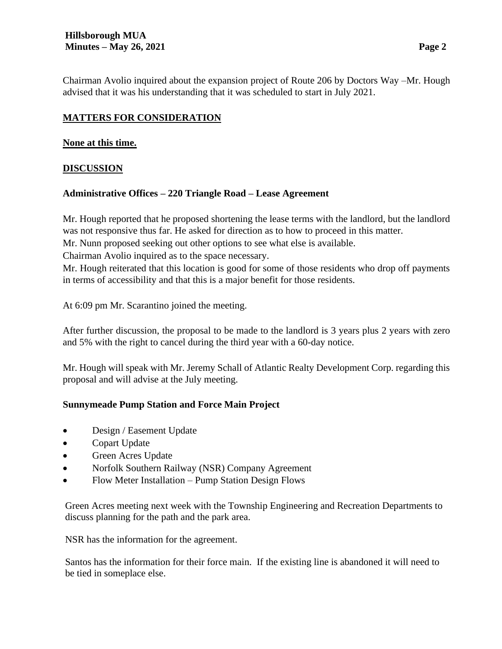Chairman Avolio inquired about the expansion project of Route 206 by Doctors Way –Mr. Hough advised that it was his understanding that it was scheduled to start in July 2021.

# **MATTERS FOR CONSIDERATION**

### **None at this time.**

# **DISCUSSION**

# **Administrative Offices – 220 Triangle Road – Lease Agreement**

Mr. Hough reported that he proposed shortening the lease terms with the landlord, but the landlord was not responsive thus far. He asked for direction as to how to proceed in this matter.

Mr. Nunn proposed seeking out other options to see what else is available.

Chairman Avolio inquired as to the space necessary.

Mr. Hough reiterated that this location is good for some of those residents who drop off payments in terms of accessibility and that this is a major benefit for those residents.

At 6:09 pm Mr. Scarantino joined the meeting.

After further discussion, the proposal to be made to the landlord is 3 years plus 2 years with zero and 5% with the right to cancel during the third year with a 60-day notice.

Mr. Hough will speak with Mr. Jeremy Schall of Atlantic Realty Development Corp. regarding this proposal and will advise at the July meeting.

# **Sunnymeade Pump Station and Force Main Project**

- Design / Easement Update
- Copart Update
- Green Acres Update
- Norfolk Southern Railway (NSR) Company Agreement
- Flow Meter Installation Pump Station Design Flows

Green Acres meeting next week with the Township Engineering and Recreation Departments to discuss planning for the path and the park area.

NSR has the information for the agreement.

Santos has the information for their force main. If the existing line is abandoned it will need to be tied in someplace else.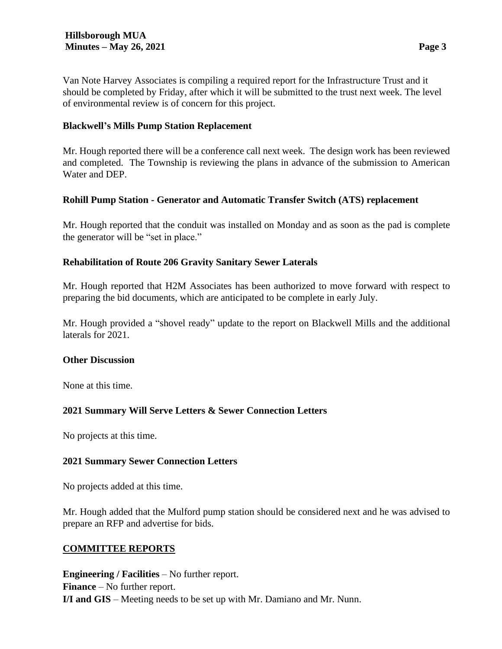Van Note Harvey Associates is compiling a required report for the Infrastructure Trust and it should be completed by Friday, after which it will be submitted to the trust next week. The level of environmental review is of concern for this project.

### **Blackwell's Mills Pump Station Replacement**

Mr. Hough reported there will be a conference call next week. The design work has been reviewed and completed. The Township is reviewing the plans in advance of the submission to American Water and DEP.

### **Rohill Pump Station - Generator and Automatic Transfer Switch (ATS) replacement**

Mr. Hough reported that the conduit was installed on Monday and as soon as the pad is complete the generator will be "set in place."

### **Rehabilitation of Route 206 Gravity Sanitary Sewer Laterals**

Mr. Hough reported that H2M Associates has been authorized to move forward with respect to preparing the bid documents, which are anticipated to be complete in early July.

Mr. Hough provided a "shovel ready" update to the report on Blackwell Mills and the additional laterals for 2021.

#### **Other Discussion**

None at this time.

# **2021 Summary Will Serve Letters & Sewer Connection Letters**

No projects at this time.

#### **2021 Summary Sewer Connection Letters**

No projects added at this time.

Mr. Hough added that the Mulford pump station should be considered next and he was advised to prepare an RFP and advertise for bids.

#### **COMMITTEE REPORTS**

**Engineering / Facilities** – No further report. **Finance** – No further report. **I/I and GIS** – Meeting needs to be set up with Mr. Damiano and Mr. Nunn.